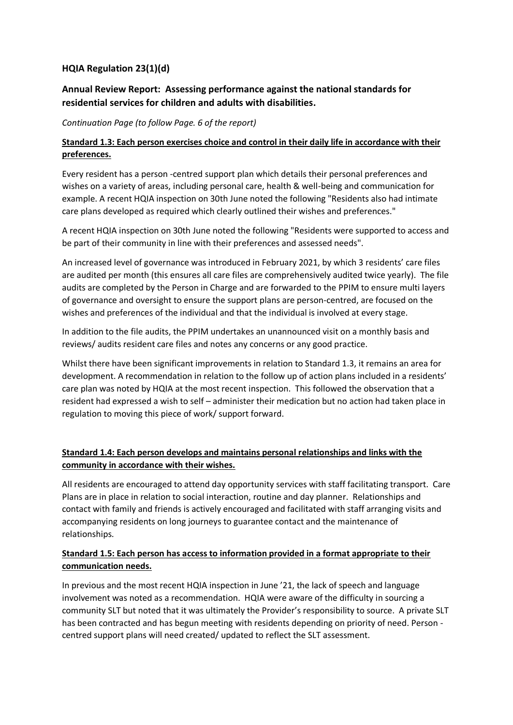# **HQIA Regulation 23(1)(d)**

# **Annual Review Report: Assessing performance against the national standards for residential services for children and adults with disabilities.**

*Continuation Page (to follow Page. 6 of the report)*

#### **Standard 1.3: Each person exercises choice and control in their daily life in accordance with their preferences.**

Every resident has a person -centred support plan which details their personal preferences and wishes on a variety of areas, including personal care, health & well-being and communication for example. A recent HQIA inspection on 30th June noted the following "Residents also had intimate care plans developed as required which clearly outlined their wishes and preferences."

A recent HQIA inspection on 30th June noted the following "Residents were supported to access and be part of their community in line with their preferences and assessed needs".

An increased level of governance was introduced in February 2021, by which 3 residents' care files are audited per month (this ensures all care files are comprehensively audited twice yearly). The file audits are completed by the Person in Charge and are forwarded to the PPIM to ensure multi layers of governance and oversight to ensure the support plans are person-centred, are focused on the wishes and preferences of the individual and that the individual is involved at every stage.

In addition to the file audits, the PPIM undertakes an unannounced visit on a monthly basis and reviews/ audits resident care files and notes any concerns or any good practice.

Whilst there have been significant improvements in relation to Standard 1.3, it remains an area for development. A recommendation in relation to the follow up of action plans included in a residents' care plan was noted by HQIA at the most recent inspection. This followed the observation that a resident had expressed a wish to self – administer their medication but no action had taken place in regulation to moving this piece of work/ support forward.

# **Standard 1.4: Each person develops and maintains personal relationships and links with the community in accordance with their wishes.**

All residents are encouraged to attend day opportunity services with staff facilitating transport. Care Plans are in place in relation to social interaction, routine and day planner. Relationships and contact with family and friends is actively encouraged and facilitated with staff arranging visits and accompanying residents on long journeys to guarantee contact and the maintenance of relationships.

# **Standard 1.5: Each person has access to information provided in a format appropriate to their communication needs.**

In previous and the most recent HQIA inspection in June '21, the lack of speech and language involvement was noted as a recommendation. HQIA were aware of the difficulty in sourcing a community SLT but noted that it was ultimately the Provider's responsibility to source. A private SLT has been contracted and has begun meeting with residents depending on priority of need. Person centred support plans will need created/ updated to reflect the SLT assessment.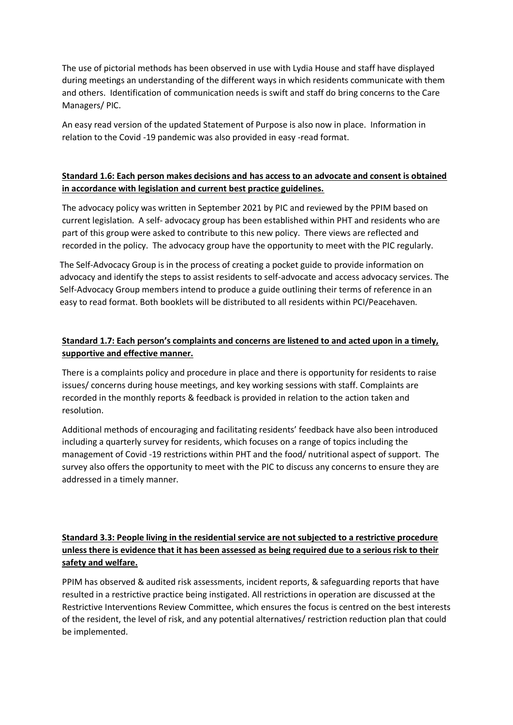The use of pictorial methods has been observed in use with Lydia House and staff have displayed during meetings an understanding of the different ways in which residents communicate with them and others. Identification of communication needs is swift and staff do bring concerns to the Care Managers/ PIC.

An easy read version of the updated Statement of Purpose is also now in place. Information in relation to the Covid -19 pandemic was also provided in easy -read format.

#### **Standard 1.6: Each person makes decisions and has access to an advocate and consent is obtained in accordance with legislation and current best practice guidelines.**

The advocacy policy was written in September 2021 by PIC and reviewed by the PPIM based on current legislation. A self- advocacy group has been established within PHT and residents who are part of this group were asked to contribute to this new policy. There views are reflected and recorded in the policy. The advocacy group have the opportunity to meet with the PIC regularly.

The Self-Advocacy Group is in the process of creating a pocket guide to provide information on advocacy and identify the steps to assist residents to self-advocate and access advocacy services. The Self-Advocacy Group members intend to produce a guide outlining their terms of reference in an easy to read format. Both booklets will be distributed to all residents within PCI/Peacehaven.

# **Standard 1.7: Each person's complaints and concerns are listened to and acted upon in a timely, supportive and effective manner.**

There is a complaints policy and procedure in place and there is opportunity for residents to raise issues/ concerns during house meetings, and key working sessions with staff. Complaints are recorded in the monthly reports & feedback is provided in relation to the action taken and resolution.

Additional methods of encouraging and facilitating residents' feedback have also been introduced including a quarterly survey for residents, which focuses on a range of topics including the management of Covid -19 restrictions within PHT and the food/ nutritional aspect of support. The survey also offers the opportunity to meet with the PIC to discuss any concerns to ensure they are addressed in a timely manner.

# **Standard 3.3: People living in the residential service are not subjected to a restrictive procedure unless there is evidence that it has been assessed as being required due to a serious risk to their safety and welfare.**

PPIM has observed & audited risk assessments, incident reports, & safeguarding reports that have resulted in a restrictive practice being instigated. All restrictions in operation are discussed at the Restrictive Interventions Review Committee, which ensures the focus is centred on the best interests of the resident, the level of risk, and any potential alternatives/ restriction reduction plan that could be implemented.